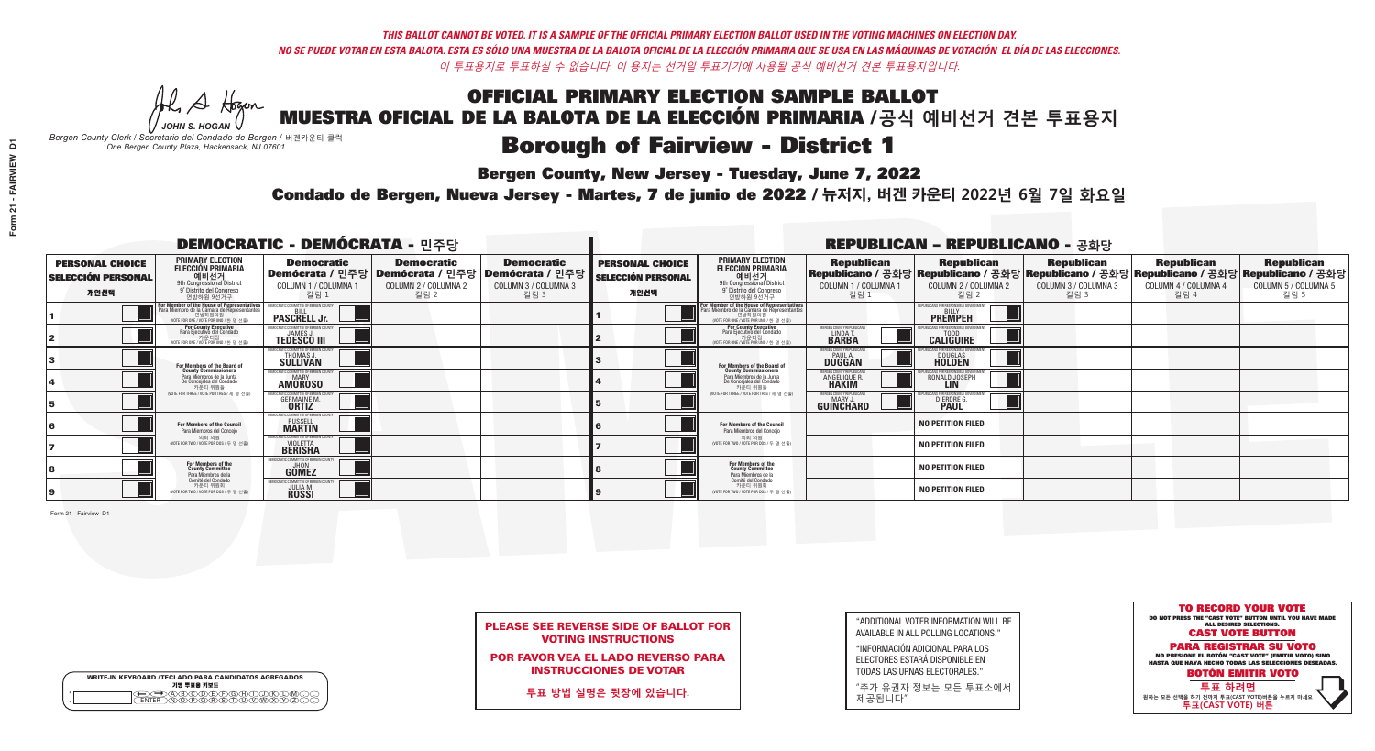A Hogen *JOHN S. HOGAN*

|              | <b>WRITE-IN KEYBOARD /TECLADO PARA CANDIDATOS AGREGADOS</b><br>기명 투표용 키보드 |
|--------------|---------------------------------------------------------------------------|
| 0<br>$\circ$ | )®©®®®®®<br>b®®®®®©®®                                                     |

# **Borough of Fairview - District 1**

**Bergen County, New Jersey - Tuesday, June 7, 2022** 

*Bergen County Clerk / Secretario del Condado de Bergen /* 버겐카운티 클럭 *One Bergen County Plaza, Hackensack, NJ 07601*



PLEASE SEE REVERSE SIDE OF BALLOT FOR VOTING INSTRUCTIONS

POR FAVOR VEA EL LADO REVERSO PARA INSTRUCCIONES DE VOTAR

**투표 방법 설명은 뒷장에 있습니다.**

| "ADDITIONAL VOTER INFORMATION WILL BE |
|---------------------------------------|
| AVAILABLE IN ALL POLLING LOCATIONS."  |

"INFORMACIÓN ADICIONAL PARA LOS ELECTORES ESTARÁ DISPONIBLE EN TODAS LAS URNAS ELECTORALES."

"추가 유권자 정보는 모든 투표소에서 제공됩니다"

Condado de Bergen, Nueva Jersey - Martes, 7 de junio de 2022 / 뉴저지, 버겐 카운티 2022년 6월 7일 화요일 *One Bergen County Plaza, Hackensack, NJ 07601*

|                                                             |                                                                                                                                               | <b>DEMOCRATIC - DEMÓCRATA - 민주당</b>                                                                    |                                                   |                                                   |                                                             |                                                                                                                                                         |                                                                     | <b>REPUBLICAN - REPUBLICANO - 공화당</b>                                                                                                          |                                                   |                                                   |                                                   |
|-------------------------------------------------------------|-----------------------------------------------------------------------------------------------------------------------------------------------|--------------------------------------------------------------------------------------------------------|---------------------------------------------------|---------------------------------------------------|-------------------------------------------------------------|---------------------------------------------------------------------------------------------------------------------------------------------------------|---------------------------------------------------------------------|------------------------------------------------------------------------------------------------------------------------------------------------|---------------------------------------------------|---------------------------------------------------|---------------------------------------------------|
| <b>PERSONAL CHOICE</b><br><b>SELECCIÓN PERSONAL</b><br>개인선택 | <b>PRIMARY ELECTION</b><br><b>ELECCIÓN PRIMARIA</b><br>예비선거<br><sup>9th</sup> Congressional District<br>9° Distrito del Congreso<br>연방하원 9선거구 | <b>Democratic</b><br>│Demócrata / 민주당│Demócrata / 민주당│Demócrata / 민주당┃<br>COLUMN 1 / COLUMNA 1<br>칼럼 1 | <b>Democratic</b><br>COLUMN 2 / COLUMNA 2<br>칼럼 2 | <b>Democratic</b><br>COLUMN 3 / COLUMNA 3<br>칼럼 3 | <b>PERSONAL CHOICE</b><br><b>SELECCIÓN PERSONAL</b><br>개인선택 | <b>PRIMARY ELECTION</b><br>ELECCIÓN PRIMARIA<br>9th Congressional District<br>9° Distrito del Congreso<br>연방하원 9선거구                                     | <b>Republican</b><br>COLUMN 1 / COLUMNA 1<br>칼럼                     | <b>Republican</b><br>Republicano / 공화당 Republicano / 공화당 Republicano / 공화당 Republicano / 공화당 Republicano / 공화당<br>COLUMN 2 / COLUMNA 2<br>칼럼 2 | <b>Republican</b><br>COLUMN 3 / COLUMNA 3<br>칼럼 3 | <b>Republican</b><br>COLUMN 4 / COLUMNA 4<br>칼럼 4 | <b>Republican</b><br>COLUMN 5 / COLUMNA 5<br>칼럼 5 |
|                                                             | F <b>or Member of the House of Representatives</b><br>Para Miembro de la Cámara de Representantes                                             | <b>PASCRELL Jr.</b>                                                                                    |                                                   |                                                   |                                                             | For Member of the House of Representatives<br>Para Miembro de la Cámara de Representantes<br>연방하원의원<br>연방하원의원<br>(WOTE FOR ONE / VOTE POR UNO / 한 명 선출) |                                                                     | <b>PREMPEH</b>                                                                                                                                 |                                                   |                                                   |                                                   |
|                                                             | For County Executive<br>Para Ejecutivo del Condado<br>가운티장<br>(VOTE FOR ONE / VOTE POR UNO / 한 명 선출)                                          | <b>TEDESCO III</b>                                                                                     |                                                   |                                                   |                                                             | For County Executive<br>Para Ejecutivo del Condado<br>카운티장<br>(VOTE FOR ONE / VOTE POR UNO / 한 명 선출                                                     | ERGEN COUNTY REPUBLICA<br>LINDA T.<br><b>BARBA</b>                  | <b>CALIGUIRE</b>                                                                                                                               |                                                   |                                                   |                                                   |
|                                                             | <b>For Members of the Board of<br/>County Commissioners</b>                                                                                   | MOCRATIC COMMITTEE OF BERGEN COUNT<br>THOMAS J.                                                        |                                                   |                                                   |                                                             | For Members of the Board of<br>County Commissioners                                                                                                     | <b>ERGEN COUNTY REPUBLICAN</b><br><b>DUGGAN</b>                     | <b>DOUGLAS</b>                                                                                                                                 |                                                   |                                                   |                                                   |
|                                                             | Para Miembros de la Junta<br>De Concejales del Condado<br>카우티 위원들                                                                             | MOCRATIC COMMITTEE OF BERGEN COUNTY<br><b>MARY</b><br><b>AMOROSO</b>                                   |                                                   |                                                   |                                                             | Para Miembros de la Junta<br>De Concejales del Condado<br>카우티 위원들                                                                                       | <b>FRGEN COUNTY REPUBLICA</b><br><b>ANGELIQUE F</b><br><b>HAKIM</b> | RONALD JOSEPH                                                                                                                                  |                                                   |                                                   |                                                   |
|                                                             | NOTE FOR THREE / VOTE POR TRES / 세 명 선출)                                                                                                      | <b>GERMAINE M.</b>                                                                                     |                                                   |                                                   |                                                             | NOTE FOR THREE / VOTE POR TRES / 세 명 선출)                                                                                                                | ERGEN COUNTY REPUBLICANS<br>MARY J<br>GUINCHARD                     | <b>DIERDRE</b> G                                                                                                                               |                                                   |                                                   |                                                   |
|                                                             | <b>For Members of the Council</b><br>Para Miembros del Conceio                                                                                | MOCRATIC COMMITTEE OF BERGEN COUNTY<br><b>RUSSELL</b><br><b>MARTIN</b>                                 |                                                   |                                                   |                                                             | <b>For Members of the Council</b><br>Para Miembros del Conceio                                                                                          |                                                                     | <b>NO PETITION FILED</b>                                                                                                                       |                                                   |                                                   |                                                   |
|                                                             | 의회 의원<br>(VOTE FOR TWO / VOTE POR DOS / 두 명 선출)                                                                                               | MOCRATIC COMMITTEE OF BERGEN COUNTY<br><b>BERISHA</b>                                                  |                                                   |                                                   |                                                             | 의회 의원<br>NOTE FOR TWO / VOTE POR DOS / 두 명 선출)                                                                                                          |                                                                     | <b>NO PETITION FILED</b>                                                                                                                       |                                                   |                                                   |                                                   |
|                                                             | <b>For Members of the<br/>County Committee</b><br>Para Miembros de la                                                                         | AOCRATIC COMMITTEE OF BERGEN C<br><b>GÖMEZ</b>                                                         |                                                   |                                                   |                                                             | For Members of the<br>County Committee<br>Para Miembros de la<br>Comité del Condado                                                                     |                                                                     | <b>NO PETITION FILED</b>                                                                                                                       |                                                   |                                                   |                                                   |
|                                                             | Comité del Condado<br>카운티 위원회<br>(VOTE FOR TWO / VOTE POR DOS / 두 명 선출)                                                                       | <b>ATIC COMMITTEE OF BERGEN</b><br><b>JULIA M.<br/>ROSSI</b>                                           |                                                   |                                                   |                                                             | 카운티 위원회<br>(VOTE FOR TWO / VOTE POR DOS / 두 명 선출)                                                                                                       |                                                                     | <b>NO PETITION FILED</b>                                                                                                                       |                                                   |                                                   |                                                   |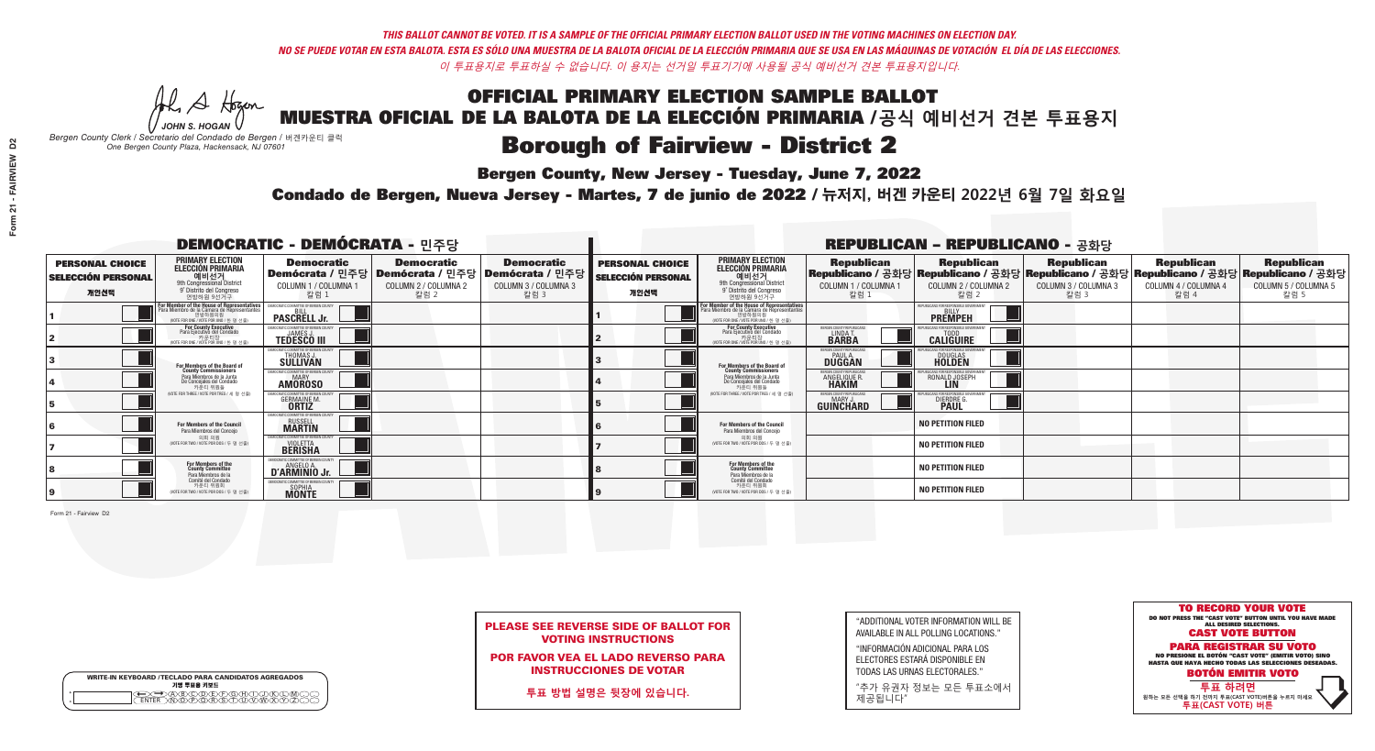A Hogen *JOHN S. HOGAN*

|              | <b>WRITE-IN KEYBOARD /TECLADO PARA CANDIDATOS AGREGADOS</b><br>기명 투표용 키보드 |
|--------------|---------------------------------------------------------------------------|
| 0<br>$\circ$ | >@®©®®®®®<br>}M@®@®\${T{IM                                                |

# **Borough of Fairview - District 2**

**Bergen County, New Jersey - Tuesday, June 7, 2022** 

*Bergen County Clerk / Secretario del Condado de Bergen /* 버겐카운티 클럭 *One Bergen County Plaza, Hackensack, NJ 07601*



PLEASE SEE REVERSE SIDE OF BALLOT FOR VOTING INSTRUCTIONS

POR FAVOR VEA EL LADO REVERSO PARA INSTRUCCIONES DE VOTAR

**투표 방법 설명은 뒷장에 있습니다.**

"ADDITIONAL VOTER INFORMATION WILL BE AVAILABLE IN ALL POLLING LOCATIONS."

"INFORMACIÓN ADICIONAL PARA LOS ELECTORES ESTARÁ DISPONIBLE EN TODAS LAS URNAS ELECTORALES."

"추가 유권자 정보는 모든 투표소에서 제공됩니다"

Condado de Bergen, Nueva Jersey - Martes, 7 de junio de 2022 / 뉴저지, 버겐 카운티 2022년 6월 7일 화요일 *One Bergen County Plaza, Hackensack, NJ 07601*

|                                                             |                                                                                                                                               | <b>DEMOCRATIC - DEMÓCRATA - 민주당</b>                                                                    |                                                   |                                                   |                                                             |                                                                                                                                                         |                                                                     | <b>REPUBLICAN - REPUBLICANO - 공화당</b>                                                                                                          |                                                   |                                                   |                                                   |
|-------------------------------------------------------------|-----------------------------------------------------------------------------------------------------------------------------------------------|--------------------------------------------------------------------------------------------------------|---------------------------------------------------|---------------------------------------------------|-------------------------------------------------------------|---------------------------------------------------------------------------------------------------------------------------------------------------------|---------------------------------------------------------------------|------------------------------------------------------------------------------------------------------------------------------------------------|---------------------------------------------------|---------------------------------------------------|---------------------------------------------------|
| <b>PERSONAL CHOICE</b><br><b>SELECCIÓN PERSONAL</b><br>개인선택 | <b>PRIMARY ELECTION</b><br><b>ELECCIÓN PRIMARIA</b><br>예비선거<br><sup>9th</sup> Congressional District<br>9° Distrito del Congreso<br>연방하원 9선거구 | <b>Democratic</b><br>│Demócrata / 민주당│Demócrata / 민주당│Demócrata / 민주당┃<br>COLUMN 1 / COLUMNA 1<br>칼럼 1 | <b>Democratic</b><br>COLUMN 2 / COLUMNA 2<br>칼럼 2 | <b>Democratic</b><br>COLUMN 3 / COLUMNA 3<br>칼럼 3 | <b>PERSONAL CHOICE</b><br><b>SELECCIÓN PERSONAL</b><br>개인선택 | <b>PRIMARY ELECTION</b><br>ELECCIÓN PRIMARIA<br>9th Congressional District<br>9° Distrito del Congreso<br>연방하원 9선거구                                     | <b>Republican</b><br>COLUMN 1 / COLUMNA 1<br>칼럼                     | <b>Republican</b><br>Republicano / 공화당 Republicano / 공화당 Republicano / 공화당 Republicano / 공화당 Republicano / 공화당<br>COLUMN 2 / COLUMNA 2<br>칼럼 2 | <b>Republican</b><br>COLUMN 3 / COLUMNA 3<br>칼럼 3 | <b>Republican</b><br>COLUMN 4 / COLUMNA 4<br>칼럼 4 | <b>Republican</b><br>COLUMN 5 / COLUMNA 5<br>칼럼 5 |
|                                                             | F <b>or Member of the House of Representatives</b><br>Para Miembro de la Cámara de Representantes                                             | <b>PASCRELL Jr.</b>                                                                                    |                                                   |                                                   |                                                             | For Member of the House of Representatives<br>Para Miembro de la Cámara de Representantes<br>연방하원의원<br>연방하원의원<br>(WOTE FOR ONE / VOTE POR UNO / 한 명 선출) |                                                                     | <b>PREMPEH</b>                                                                                                                                 |                                                   |                                                   |                                                   |
|                                                             | For County Executive<br>Para Ejecutivo del Condado<br>가운티장<br>(VOTE FOR ONE / VOTE POR UNO / 한 명 선출)                                          | <b>TEDESCO III</b>                                                                                     |                                                   |                                                   |                                                             | For County Executive<br>Para Ejecutivo del Condado<br>카운티장<br>(VOTE FOR ONE / VOTE POR UNO / 한 명 선출                                                     | ERGEN COUNTY REPUBLICA<br>LINDA T.<br><b>BARBA</b>                  | <b>CALIGUIRE</b>                                                                                                                               |                                                   |                                                   |                                                   |
|                                                             | <b>For Members of the Board of<br/>County Commissioners</b>                                                                                   | MOCRATIC COMMITTEE OF BERGEN COUNT<br>THOMAS J.                                                        |                                                   |                                                   |                                                             | For Members of the Board of<br>County Commissioners                                                                                                     | <b>ERGEN COUNTY REPUBLICAN</b><br><b>DUGGAN</b>                     | <b>DOUGLAS</b>                                                                                                                                 |                                                   |                                                   |                                                   |
|                                                             | Para Miembros de la Junta<br>De Concejales del Condado<br>카우티 위원들                                                                             | MOCRATIC COMMITTEE OF BERGEN COUNTY<br><b>MARY</b><br><b>AMOROSO</b>                                   |                                                   |                                                   |                                                             | Para Miembros de la Junta<br>De Concejales del Condado<br>카우티 위원들                                                                                       | <b>FRGEN COUNTY REPUBLICA</b><br><b>ANGELIQUE F</b><br><b>HAKIM</b> | RONALD JOSEPH                                                                                                                                  |                                                   |                                                   |                                                   |
|                                                             | NOTE FOR THREE / VOTE POR TRES / 세 명 선출)                                                                                                      | <b>GERMAINE M.</b>                                                                                     |                                                   |                                                   |                                                             | NOTE FOR THREE / VOTE POR TRES / 세 명 선출)                                                                                                                | ERGEN COUNTY REPUBLICANS<br>MARY J<br>GUINCHARD                     | <b>DIERDRE</b> G                                                                                                                               |                                                   |                                                   |                                                   |
|                                                             | <b>For Members of the Council</b><br>Para Miembros del Conceio                                                                                | MOCRATIC COMMITTEE OF BERGEN COUNTY<br><b>RUSSELL</b><br><b>MARTIN</b>                                 |                                                   |                                                   |                                                             | <b>For Members of the Council</b><br>Para Miembros del Conceio                                                                                          |                                                                     | <b>NO PETITION FILED</b>                                                                                                                       |                                                   |                                                   |                                                   |
|                                                             | 의회 의원<br>(VOTE FOR TWO / VOTE POR DOS / 두 명 선출)                                                                                               | MOCRATIC COMMITTEE OF BERGEN COUNTY<br><b><i>VIOLETTA</i></b><br><b>BERISHA</b>                        |                                                   |                                                   |                                                             | 의회 의원<br>NOTE FOR TWO / VOTE POR DOS / 두 명 선출)                                                                                                          |                                                                     | <b>NO PETITION FILED</b>                                                                                                                       |                                                   |                                                   |                                                   |
|                                                             | For Members of the<br>County Committee<br>Para Miembros de la                                                                                 | D'ARMINIO Jr.                                                                                          |                                                   |                                                   |                                                             | For Members of the<br>County Committee<br>Para Miembros de la<br>Comité del Condado                                                                     |                                                                     | <b>NO PETITION FILED</b>                                                                                                                       |                                                   |                                                   |                                                   |
|                                                             | Comité del Condado<br>카운티 위원회<br>(VOTE FOR TWO / VOTE POR DOS / 두 명 선출)                                                                       | EMOCRATIC COMMITTEE OF RERGEN COUNTY<br>SOPHIA<br><b>MONTE</b>                                         |                                                   |                                                   |                                                             | 카운티 위원회<br>(VOTE FOR TWO / VOTE POR DOS / 두 명 선출)                                                                                                       |                                                                     | <b>NO PETITION FILED</b>                                                                                                                       |                                                   |                                                   |                                                   |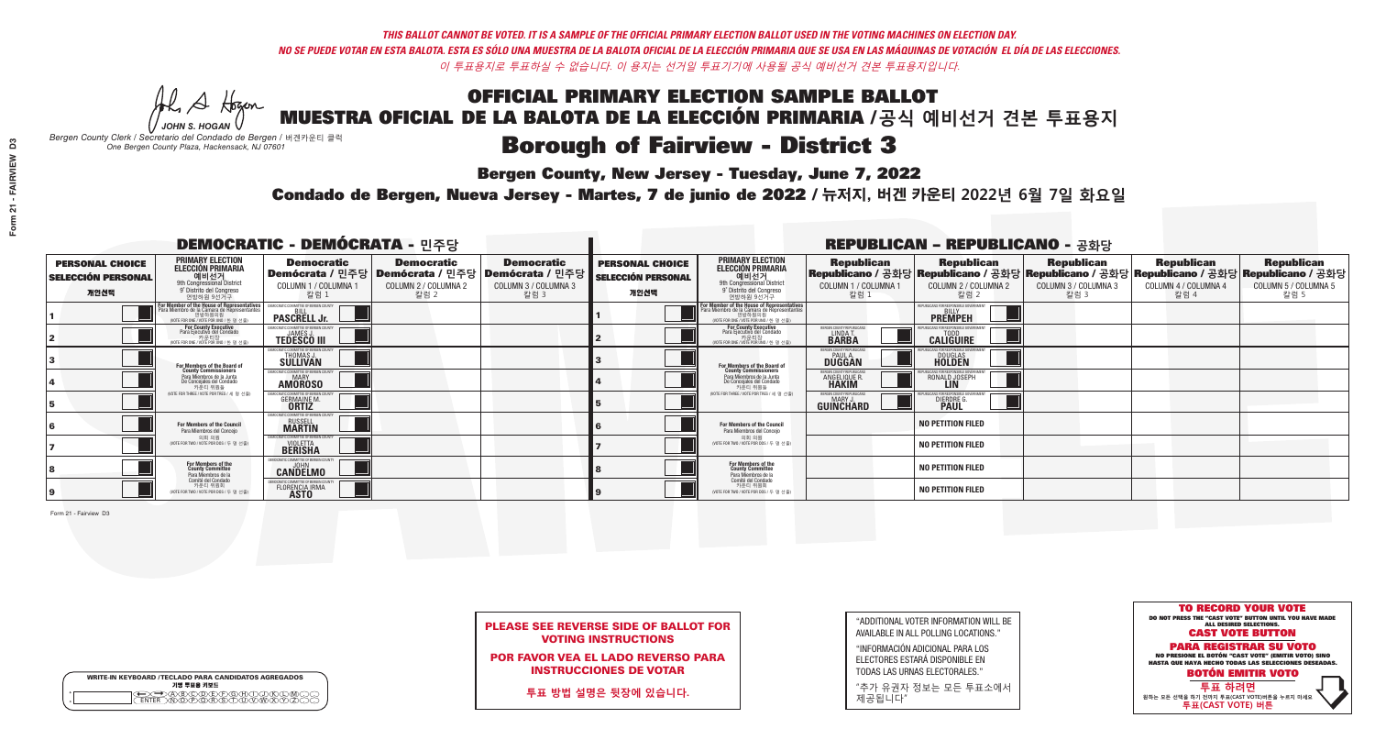A Hogen *JOHN S. HOGAN*

| <b>WRITE-IN KEYBOARD /TECLADO PARA CANDIDATOS AGREGADOS</b><br>기명 투표용 키보드 |  |
|---------------------------------------------------------------------------|--|
| o<br>o                                                                    |  |

# **Borough of Fairview - District 3**

**Bergen County, New Jersey - Tuesday, June 7, 2022** 

*Bergen County Clerk / Secretario del Condado de Bergen /* 버겐카운티 클럭 *One Bergen County Plaza, Hackensack, NJ 07601*



PLEASE SEE REVERSE SIDE OF BALLOT FOR VOTING INSTRUCTIONS

POR FAVOR VEA EL LADO REVERSO PARA INSTRUCCIONES DE VOTAR

**투표 방법 설명은 뒷장에 있습니다.**

"ADDITIONAL VOTER INFORMATION WILL BE AVAILABLE IN ALL POLLING LOCATIONS."

"INFORMACIÓN ADICIONAL PARA LOS ELECTORES ESTARÁ DISPONIBLE EN TODAS LAS URNAS ELECTORALES."

"추가 유권자 정보는 모든 투표소에서 제공됩니다"

Condado de Bergen, Nueva Jersey - Martes, 7 de junio de 2022 / 뉴저지, 버겐 카운티 2022년 6월 7일 화요일 *One Bergen County Plaza, Hackensack, NJ 07601*

|                                                             |                                                                                                                                               | <b>DEMOCRATIC - DEMÓCRATA - 민주당</b>                                                                    |                                                   |                                                   |                                                             |                                                                                                                                                         |                                                                     | <b>REPUBLICAN - REPUBLICANO - 공화당</b>                                                                                                          |                                                   |                                                   |                                                   |
|-------------------------------------------------------------|-----------------------------------------------------------------------------------------------------------------------------------------------|--------------------------------------------------------------------------------------------------------|---------------------------------------------------|---------------------------------------------------|-------------------------------------------------------------|---------------------------------------------------------------------------------------------------------------------------------------------------------|---------------------------------------------------------------------|------------------------------------------------------------------------------------------------------------------------------------------------|---------------------------------------------------|---------------------------------------------------|---------------------------------------------------|
| <b>PERSONAL CHOICE</b><br><b>SELECCIÓN PERSONAL</b><br>개인선택 | <b>PRIMARY ELECTION</b><br><b>ELECCIÓN PRIMARIA</b><br>예비선거<br><sup>9th</sup> Congressional District<br>9° Distrito del Congreso<br>연방하원 9선거구 | <b>Democratic</b><br>│Demócrata / 민주당│Demócrata / 민주당│Demócrata / 민주당┃<br>COLUMN 1 / COLUMNA 1<br>칼럼 1 | <b>Democratic</b><br>COLUMN 2 / COLUMNA 2<br>칼럼 2 | <b>Democratic</b><br>COLUMN 3 / COLUMNA 3<br>칼럼 3 | <b>PERSONAL CHOICE</b><br><b>SELECCIÓN PERSONAL</b><br>개인선택 | <b>PRIMARY ELECTION</b><br>ELECCIÓN PRIMARIA<br>9th Congressional District<br>9° Distrito del Congreso<br>연방하원 9선거구                                     | <b>Republican</b><br>COLUMN 1 / COLUMNA 1<br>칼럼                     | <b>Republican</b><br>Republicano / 공화당 Republicano / 공화당 Republicano / 공화당 Republicano / 공화당 Republicano / 공화당<br>COLUMN 2 / COLUMNA 2<br>칼럼 2 | <b>Republican</b><br>COLUMN 3 / COLUMNA 3<br>칼럼 3 | <b>Republican</b><br>COLUMN 4 / COLUMNA 4<br>칼럼 4 | <b>Republican</b><br>COLUMN 5 / COLUMNA 5<br>칼럼 5 |
|                                                             | F <b>or Member of the House of Representatives</b><br>Para Miembro de la Cámara de Representantes                                             | <b>PASCRELL Jr.</b>                                                                                    |                                                   |                                                   |                                                             | For Member of the House of Representatives<br>Para Miembro de la Cámara de Representantes<br>연방하원의원<br>연방하원의원<br>(WOTE FOR ONE / VOTE POR UNO / 한 명 선출) |                                                                     | <b>PREMPEH</b>                                                                                                                                 |                                                   |                                                   |                                                   |
|                                                             | For County Executive<br>Para Ejecutivo del Condado<br>가운티장<br>(VOTE FOR ONE / VOTE POR UNO / 한 명 선출)                                          | <b>TEDESCO III</b>                                                                                     |                                                   |                                                   |                                                             | For County Executive<br>Para Ejecutivo del Condado<br>카운티장<br>(VOTE FOR ONE / VOTE POR UNO / 한 명 선출                                                     | ERGEN COUNTY REPUBLICA<br>LINDA T.<br><b>BARBA</b>                  | <b>CALIGUIRE</b>                                                                                                                               |                                                   |                                                   |                                                   |
|                                                             | <b>For Members of the Board of<br/>County Commissioners</b>                                                                                   | MOCRATIC COMMITTEE OF BERGEN COUNT<br>THOMAS J.                                                        |                                                   |                                                   |                                                             | For Members of the Board of<br>County Commissioners                                                                                                     | <b>ERGEN COUNTY REPUBLICAN</b><br><b>DUGGAN</b>                     | <b>DOUGLAS</b>                                                                                                                                 |                                                   |                                                   |                                                   |
|                                                             | Para Miembros de la Junta<br>De Concejales del Condado<br>카우티 위원들                                                                             | MOCRATIC COMMITTEE OF BERGEN COUNTY<br><b>MARY</b><br><b>AMOROSO</b>                                   |                                                   |                                                   |                                                             | Para Miembros de la Junta<br>De Concejales del Condado<br>카우티 위원들                                                                                       | <b>FRGEN COUNTY REPUBLICA</b><br><b>ANGELIQUE F</b><br><b>HAKIM</b> | RONALD JOSEPH                                                                                                                                  |                                                   |                                                   |                                                   |
|                                                             | NOTE FOR THREE / VOTE POR TRES / 세 명 선출)                                                                                                      | <b>GERMAINE M.</b>                                                                                     |                                                   |                                                   |                                                             | NOTE FOR THREE / VOTE POR TRES / 세 명 선출)                                                                                                                | ERGEN COUNTY REPUBLICANS<br>MARY J<br>GUINCHARD                     | <b>DIERDRE</b> G                                                                                                                               |                                                   |                                                   |                                                   |
|                                                             | <b>For Members of the Council</b><br>Para Miembros del Conceio                                                                                | MOCRATIC COMMITTEE OF BERGEN COUNTY<br><b>RUSSELL</b><br><b>MARTIN</b>                                 |                                                   |                                                   |                                                             | <b>For Members of the Council</b><br>Para Miembros del Conceio                                                                                          |                                                                     | <b>NO PETITION FILED</b>                                                                                                                       |                                                   |                                                   |                                                   |
|                                                             | 의회 의원<br>(VOTE FOR TWO / VOTE POR DOS / 두 명 선출)                                                                                               | MOCRATIC COMMITTEE OF BERGEN COUNTY<br><b>BERISHA</b>                                                  |                                                   |                                                   |                                                             | 의회 의원<br>NOTE FOR TWO / VOTE POR DOS / 두 명 선출)                                                                                                          |                                                                     | <b>NO PETITION FILED</b>                                                                                                                       |                                                   |                                                   |                                                   |
|                                                             | For Members of the<br>County Committee<br>Para Miembros de la                                                                                 | MOCRATIC COMMITTEE OF BERGEN COUN<br><b>CANDELMO</b>                                                   |                                                   |                                                   |                                                             | For Members of the<br>County Committee<br>Para Miembros de la<br>Comité del Condado                                                                     |                                                                     | <b>NO PETITION FILED</b>                                                                                                                       |                                                   |                                                   |                                                   |
|                                                             | Comité del Condado<br>카운티 위원회<br>NOTE FOR TWO / VOTE POR DOS / 두 명 선출)                                                                        | FMOCRATIC COMMITTEE OF BERGEN CO<br><b>FLORENCIA IRMA</b>                                              |                                                   |                                                   |                                                             | 카운티 위원회<br>(VOTE FOR TWO / VOTE POR DOS / 두 명 선출)                                                                                                       |                                                                     | <b>NO PETITION FILED</b>                                                                                                                       |                                                   |                                                   |                                                   |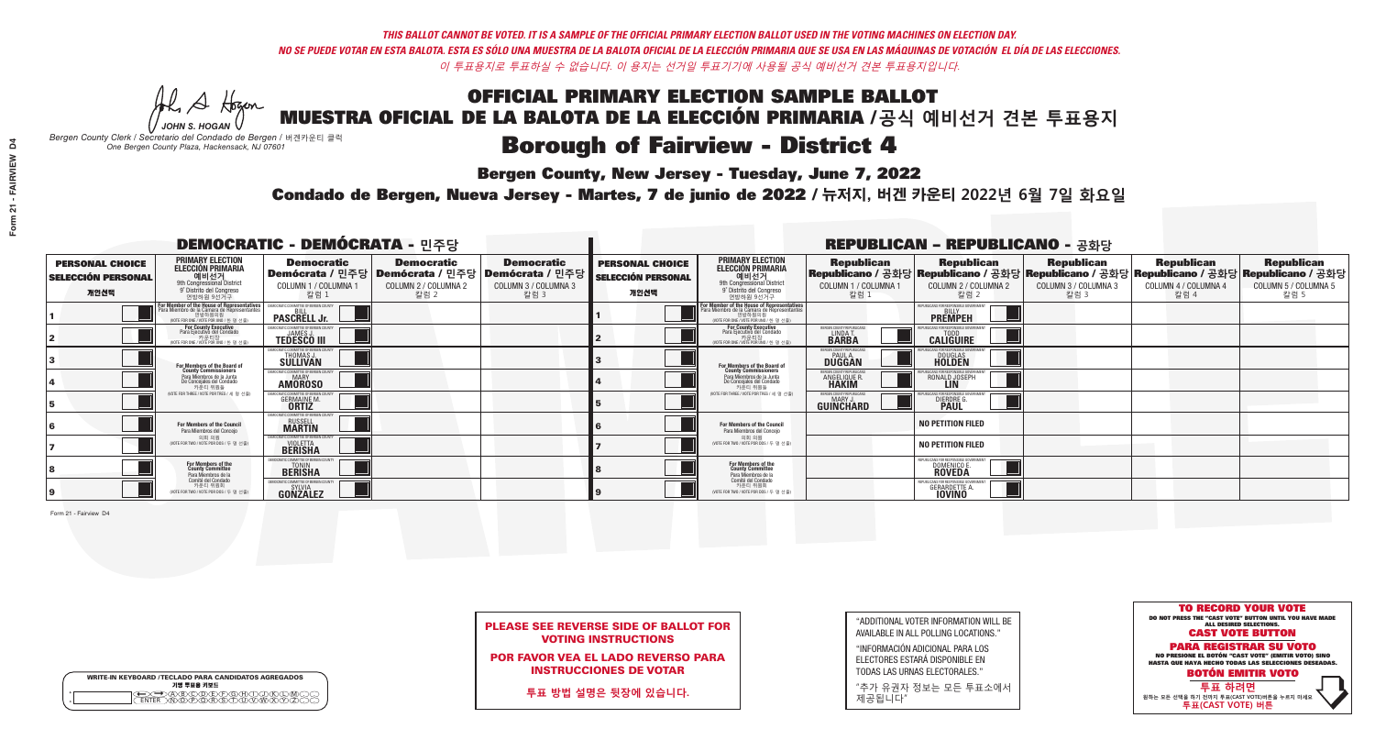A Hogen *JOHN S. HOGAN*

|              | <b>WRITE-IN KEYBOARD /TECLADO PARA CANDIDATOS AGREGADOS</b><br>기명 투표용 키보드 |
|--------------|---------------------------------------------------------------------------|
| 0<br>$\circ$ | )®©®®®®®<br>b®®®®®©®®                                                     |

## **Borough of Fairview - District 4**

**Bergen County, New Jersey - Tuesday, June 7, 2022** 

*Bergen County Clerk / Secretario del Condado de Bergen /* 버겐카운티 클럭 *One Bergen County Plaza, Hackensack, NJ 07601*



PLEASE SEE REVERSE SIDE OF BALLOT FOR VOTING INSTRUCTIONS

POR FAVOR VEA EL LADO REVERSO PARA INSTRUCCIONES DE VOTAR

**투표 방법 설명은 뒷장에 있습니다.**

| "ADDITIONAL VOTER INFORMATION WILL BE |
|---------------------------------------|
| AVAILABLE IN ALL POLLING LOCATIONS."  |

"INFORMACIÓN ADICIONAL PARA LOS ELECTORES ESTARÁ DISPONIBLE EN TODAS LAS URNAS ELECTORALES."

"추가 유권자 정보는 모든 투표소에서 제공됩니다"

Condado de Bergen, Nueva Jersey - Martes, 7 de junio de 2022 / 뉴저지, 버겐 카운티 2022년 6월 7일 화요일 *One Bergen County Plaza, Hackensack, NJ 07601*

|                                                             |                                                                                                                                               | <b>DEMOCRATIC - DEMÓCRATA - 민주당</b>                               |                                                   |                                                                                                        |                                                             |                                                                                                                                               |                                                               | <b>REPUBLICAN - REPUBLICANO - 공화당</b>                                                                                                          |                                            |                                                   |                                                   |
|-------------------------------------------------------------|-----------------------------------------------------------------------------------------------------------------------------------------------|-------------------------------------------------------------------|---------------------------------------------------|--------------------------------------------------------------------------------------------------------|-------------------------------------------------------------|-----------------------------------------------------------------------------------------------------------------------------------------------|---------------------------------------------------------------|------------------------------------------------------------------------------------------------------------------------------------------------|--------------------------------------------|---------------------------------------------------|---------------------------------------------------|
| <b>PERSONAL CHOICE</b><br><b>SELECCIÓN PERSONAL</b><br>개인선택 | <b>PRIMARY ELECTION</b><br><b>ELECCIÓN PRIMARIA</b><br>예비선거<br><sup>9th</sup> Congressional District<br>9° Distrito del Congreso<br>연방하원 9선거구 | <b>Democratic</b><br>COLUMN 1 / COLUMNA 1<br>칼럼 :                 | <b>Democratic</b><br>COLUMN 2 / COLUMNA 2<br>칼럼 2 | <b>Democratic</b><br>│Demócrata / 민주당│Demócrata / 민주당│Demócrata / 민주당┃<br>COLUMN 3 / COLUMNA 3<br>칼럼 3 | <b>PERSONAL CHOICE</b><br><b>SELECCIÓN PERSONAL</b><br>개인선택 | <b>PRIMARY ELECTION</b><br>ELECCIÓN PRIMARIA<br>예비선거<br>9th Congressional District<br>9° Distrito del Congreso<br>연방하원 9선거구                   | <b>Republican</b><br>COLUMN 1 / COLUMNA 1<br>칼럼               | <b>Republican</b><br>Republicano / 공화당 Republicano / 공화당 Republicano / 공화당 Republicano / 공화당 Republicano / 공화당<br>COLUMN 2 / COLUMNA 2<br>칼럼 2 | Republican<br>COLUMN 3 / COLUMNA 3<br>칼럼 3 | <b>Republican</b><br>COLUMN 4 / COLUMNA 4<br>칼럼 4 | <b>Republican</b><br>COLUMN 5 / COLUMNA 5<br>칼럼 5 |
|                                                             | or Member of the House of Representatives<br>ara Miembro de la Cámara de Representantes<br>연방하원의원<br>(VOTE FOR ONE / VOTE POR UNO / 한 명 선출)   | <b>PASCRELL Jr.</b>                                               |                                                   |                                                                                                        |                                                             | For Member of the House of Representatives<br>Para Miembro de la Cámara de Representantes<br>연방하원의원<br>(VOTE FOR ONE / VOTE POR UNO / 한 명 선출) |                                                               | PUBLICANS FOR RESPONSIBLE GOVER<br><b>PREMPEH</b>                                                                                              |                                            |                                                   |                                                   |
|                                                             | <b>For County Executive</b><br>Para Ejecutivo del Condado<br>가운티장<br>(VOTE FOR ONE / VOTE POR UNO / 한 명 선출)                                   | DEMOCRATIC COMMITTEE OF BERGEN COUNTY<br><b>TEDESCO III</b>       |                                                   |                                                                                                        |                                                             | For County Executive<br>Para Ejecutivo del Condado<br>. 카운티장<br>(VOTE FOR ONE / VOTE POR UNO / 한 명 선출)                                        | ERGEN COUNTY REPUBLICAN<br><b>I INDA T</b><br><b>BARBA</b>    | <b>CALIGUIRE</b>                                                                                                                               |                                            |                                                   |                                                   |
|                                                             | <b>For Members of the Board of<br/>County Commissioners</b>                                                                                   | <b><i>AOCRATIC COMMITTEE OF BERGEN COUNTY</i></b><br>THOMAS J.    |                                                   |                                                                                                        |                                                             | For Members of the Board of<br>County Commissioners                                                                                           | ERGEN COUNTY REPUBLICAN<br><b>PAUL A.</b><br><b>DUGGAN</b>    | <b>DOUGLAS</b>                                                                                                                                 |                                            |                                                   |                                                   |
|                                                             | Para Miembros de la Junta<br>De Concejales del Condado<br>카우티 위원들                                                                             | RATIC COMMITTEE OF BERGEN COUNT<br><b>MARY</b><br><b>AMOROSO</b>  |                                                   |                                                                                                        |                                                             | Para Miembros de la Junta<br>De Concejales del Condado<br>카운티 위원들                                                                             | FRGEN COUNTY REPUBLICAN<br><b>ANGELIQUE F</b><br><b>HAKIM</b> | RONALD JOSEPH                                                                                                                                  |                                            |                                                   |                                                   |
|                                                             | NOTE FOR THREE / VOTE POR TRES / 세 명 선출)                                                                                                      | AATIC COMMITTEE OF BERGEN CI<br><b>GERMAINE M.</b>                |                                                   |                                                                                                        |                                                             | (VOTE FOR THREE / VOTE POR TRES / 세 명 선출)                                                                                                     | ERGEN COUNTY REPUBLICANS<br>MARY J<br>GUINCHARD               | DIERDRE G                                                                                                                                      |                                            |                                                   |                                                   |
|                                                             | For Members of the Council<br>Para Miembros del Conceio                                                                                       | MOCRATIC COMMITTEE OF BERGEN C<br><b>RUSSELL</b><br><b>MARTIN</b> |                                                   |                                                                                                        |                                                             | For Members of the Council<br>Para Miembros del Conceio                                                                                       |                                                               | <b>NO PETITION FILED</b>                                                                                                                       |                                            |                                                   |                                                   |
|                                                             | 의회 의원<br>(VOTE FOR TWO / VOTE POR DOS / 두 명 선출)                                                                                               | MOCRATIC COMMITTEE OF BERGEN COUNT<br><b>BERISHA</b>              |                                                   |                                                                                                        |                                                             | 의회 의원<br>(VOTE FOR TWO / VOTE POR DOS / 두 명 선출)                                                                                               |                                                               | <b>NO PETITION FILED</b>                                                                                                                       |                                            |                                                   |                                                   |
|                                                             | For Members of the<br>County Committee<br>Para Miembros de la                                                                                 | <b>BERISHA</b>                                                    |                                                   |                                                                                                        |                                                             | For Members of the<br>County Committee<br>Para Miembros de la<br>Comité del Condado                                                           |                                                               | PUBLICANS FOR RESPONSIBLE G(<br>DOMENICO E.<br><b>ROVEDA</b>                                                                                   |                                            |                                                   |                                                   |
|                                                             | Comité del Condado<br>카운티 위원회<br>(VOTE FOR TWO / VOTE POR DOS / 두 명 선출)                                                                       | <b>GONZALEZ</b>                                                   |                                                   |                                                                                                        |                                                             | 카운티 위원회<br>NOTE FOR TWO / VOTE POR DOS / 두 명 선출)                                                                                              |                                                               | <b>GERARDETTE</b>                                                                                                                              |                                            |                                                   |                                                   |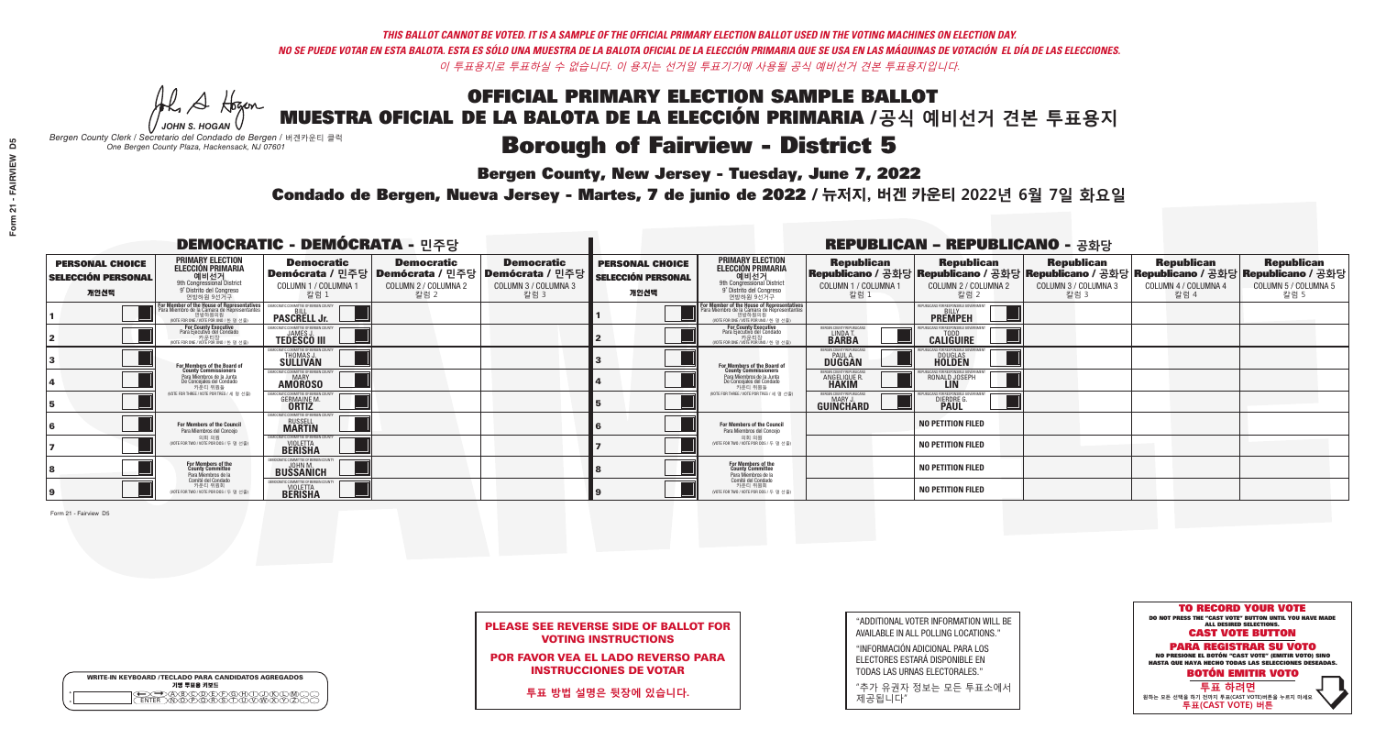A Hogen *JOHN S. HOGAN*

|              | <b>WRITE-IN KEYBOARD /TECLADO PARA CANDIDATOS AGREGADOS</b><br>기명 투표용 키보드 |
|--------------|---------------------------------------------------------------------------|
| 0<br>$\circ$ | )®©®®®®®<br>b®®®®®©®®                                                     |

# **Borough of Fairview - District 5**

**Bergen County, New Jersey - Tuesday, June 7, 2022** 

*Bergen County Clerk / Secretario del Condado de Bergen /* 버겐카운티 클럭 *One Bergen County Plaza, Hackensack, NJ 07601*



PLEASE SEE REVERSE SIDE OF BALLOT FOR VOTING INSTRUCTIONS

POR FAVOR VEA EL LADO REVERSO PARA INSTRUCCIONES DE VOTAR

**투표 방법 설명은 뒷장에 있습니다.**

| "ADDITIONAL VOTER INFORMATION WILL BE |
|---------------------------------------|
| AVAILABLE IN ALL POLLING LOCATIONS."  |

"INFORMACIÓN ADICIONAL PARA LOS ELECTORES ESTARÁ DISPONIBLE EN TODAS LAS URNAS ELECTORALES."

"추가 유권자 정보는 모든 투표소에서 제공됩니다"

Condado de Bergen, Nueva Jersey - Martes, 7 de junio de 2022 / 뉴저지, 버겐 카운티 2022년 6월 7일 화요일 *One Bergen County Plaza, Hackensack, NJ 07601*

| <b>DEMOCRATIC - DEMÓCRATA - 민주당</b>                         |                                                                                                                                               |                                                                                                        |                                                   |                                                   | <b>REPUBLICAN - REPUBLICANO - 공화당</b>                       |                                                                                                                                                         |                                                                     |                                                                                                                                                |                                                   |                                                   |                                                   |
|-------------------------------------------------------------|-----------------------------------------------------------------------------------------------------------------------------------------------|--------------------------------------------------------------------------------------------------------|---------------------------------------------------|---------------------------------------------------|-------------------------------------------------------------|---------------------------------------------------------------------------------------------------------------------------------------------------------|---------------------------------------------------------------------|------------------------------------------------------------------------------------------------------------------------------------------------|---------------------------------------------------|---------------------------------------------------|---------------------------------------------------|
| <b>PERSONAL CHOICE</b><br><b>SELECCIÓN PERSONAL</b><br>개인선택 | <b>PRIMARY ELECTION</b><br><b>ELECCIÓN PRIMARIA</b><br>예비선거<br><sup>9th</sup> Congressional District<br>9° Distrito del Congreso<br>연방하원 9선거구 | <b>Democratic</b><br>│Demócrata / 민주당│Demócrata / 민주당│Demócrata / 민주당┃<br>COLUMN 1 / COLUMNA 1<br>칼럼 1 | <b>Democratic</b><br>COLUMN 2 / COLUMNA 2<br>칼럼 2 | <b>Democratic</b><br>COLUMN 3 / COLUMNA 3<br>칼럼 3 | <b>PERSONAL CHOICE</b><br><b>SELECCIÓN PERSONAL</b><br>개인선택 | <b>PRIMARY ELECTION</b><br>ELECCIÓN PRIMARIA<br>9th Congressional District<br>9° Distrito del Congreso<br>연방하원 9선거구                                     | <b>Republican</b><br>COLUMN 1 / COLUMNA 1<br>칼럼                     | <b>Republican</b><br>Republicano / 공화당 Republicano / 공화당 Republicano / 공화당 Republicano / 공화당 Republicano / 공화당<br>COLUMN 2 / COLUMNA 2<br>칼럼 2 | <b>Republican</b><br>COLUMN 3 / COLUMNA 3<br>칼럼 3 | <b>Republican</b><br>COLUMN 4 / COLUMNA 4<br>칼럼 4 | <b>Republican</b><br>COLUMN 5 / COLUMNA 5<br>칼럼 5 |
|                                                             | F <b>or Member of the House of Representatives</b><br>Para Miembro de la Cámara de Representantes                                             | <b>PASCRELL Jr.</b>                                                                                    |                                                   |                                                   |                                                             | For Member of the House of Representatives<br>Para Miembro de la Cámara de Representantes<br>연방하원의원<br>연방하원의원<br>(WOTE FOR ONE / VOTE POR UNO / 한 명 선출) |                                                                     | <b>PREMPEH</b>                                                                                                                                 |                                                   |                                                   |                                                   |
|                                                             | For County Executive<br>Para Ejecutivo del Condado<br>가운티장<br>(VOTE FOR ONE / VOTE POR UNO / 한 명 선출)                                          | <b>TEDESCO III</b>                                                                                     |                                                   |                                                   |                                                             | For County Executive<br>Para Ejecutivo del Condado<br>카운티장<br>(VOTE FOR ONE / VOTE POR UNO / 한 명 선출                                                     | ERGEN COUNTY REPUBLICA<br>LINDA T.<br><b>BARBA</b>                  | <b>CALIGUIRE</b>                                                                                                                               |                                                   |                                                   |                                                   |
|                                                             | <b>For Members of the Board of<br/>County Commissioners</b>                                                                                   | MOCRATIC COMMITTEE OF BERGEN COUNT<br>THOMAS J.                                                        |                                                   |                                                   |                                                             | For Members of the Board of<br>County Commissioners                                                                                                     | <b>ERGEN COUNTY REPUBLICAN</b><br><b>DUGGAN</b>                     | <b>DOUGLAS</b>                                                                                                                                 |                                                   |                                                   |                                                   |
|                                                             | Para Miembros de la Junta<br>De Concejales del Condado<br>카우티 위원들                                                                             | MOCRATIC COMMITTEE OF BERGEN COUNTY<br><b>MARY</b><br><b>AMOROSO</b>                                   |                                                   |                                                   |                                                             | Para Miembros de la Junta<br>De Concejales del Condado<br>카우티 위원들                                                                                       | <b>FRGEN COUNTY REPUBLICA</b><br><b>ANGELIQUE F</b><br><b>HAKIM</b> | RONALD JOSEPH                                                                                                                                  |                                                   |                                                   |                                                   |
|                                                             | NOTE FOR THREE / VOTE POR TRES / 세 명 선출)                                                                                                      | <b>GERMAINE M.</b>                                                                                     |                                                   |                                                   |                                                             | NOTE FOR THREE / VOTE POR TRES / 세 명 선출)                                                                                                                | ERGEN COUNTY REPUBLICANS<br>MARY J<br>GUINCHARD                     | <b>DIERDRE</b> G                                                                                                                               |                                                   |                                                   |                                                   |
|                                                             | <b>For Members of the Council</b><br>Para Miembros del Conceio                                                                                | MOCRATIC COMMITTEE OF BERGEN COUNTY<br><b>RUSSELL</b><br><b>MARTIN</b>                                 |                                                   |                                                   |                                                             | <b>For Members of the Council</b><br>Para Miembros del Conceio                                                                                          |                                                                     | <b>NO PETITION FILED</b>                                                                                                                       |                                                   |                                                   |                                                   |
|                                                             | 의회 의원<br>(VOTE FOR TWO / VOTE POR DOS / 두 명 선출)                                                                                               | MOCRATIC COMMITTEE OF BERGEN COUNTY<br><b>BERISHA</b>                                                  |                                                   |                                                   |                                                             | 의회 의원<br>NOTE FOR TWO / VOTE POR DOS / 두 명 선출)                                                                                                          |                                                                     | <b>NO PETITION FILED</b>                                                                                                                       |                                                   |                                                   |                                                   |
|                                                             | For Members of the<br>County Committee<br>Para Miembros de la                                                                                 | <b>BUSSANICH</b>                                                                                       |                                                   |                                                   |                                                             | For Members of the<br>County Committee<br>Para Miembros de la<br>Comité del Condado                                                                     |                                                                     | <b>NO PETITION FILED</b>                                                                                                                       |                                                   |                                                   |                                                   |
|                                                             | Comité del Condado<br>카운티 위원회<br>(VOTE FOR TWO / VOTE POR DOS / 두 명 선출)                                                                       | EMOCRATIC COMMITTEE OF REBGEN COUNT<br><b>BERISHA</b>                                                  |                                                   |                                                   |                                                             | 카운티 위원회<br>(VOTE FOR TWO / VOTE POR DOS / 두 명 선출)                                                                                                       |                                                                     | <b>NO PETITION FILED</b>                                                                                                                       |                                                   |                                                   |                                                   |